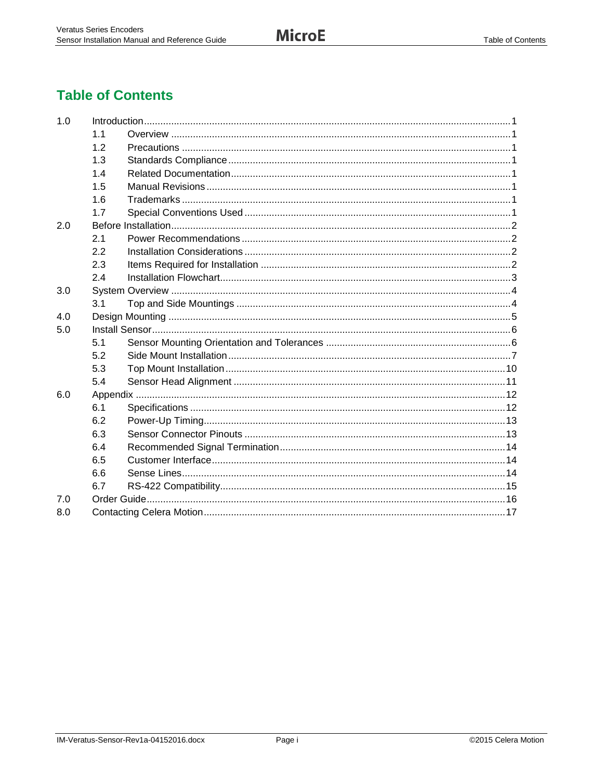# **Table of Contents**

| 1.0 |     |  |  |
|-----|-----|--|--|
|     | 1.1 |  |  |
|     | 1.2 |  |  |
|     | 1.3 |  |  |
|     | 1.4 |  |  |
|     | 1.5 |  |  |
|     | 1.6 |  |  |
|     | 1.7 |  |  |
| 2.0 |     |  |  |
|     | 2.1 |  |  |
|     | 2.2 |  |  |
|     | 2.3 |  |  |
|     | 2.4 |  |  |
| 3.0 |     |  |  |
|     | 3.1 |  |  |
| 4.0 |     |  |  |
| 5.0 |     |  |  |
|     | 5.1 |  |  |
|     | 5.2 |  |  |
|     | 5.3 |  |  |
|     | 5.4 |  |  |
| 6.0 |     |  |  |
|     | 6.1 |  |  |
|     | 6.2 |  |  |
|     | 6.3 |  |  |
|     | 6.4 |  |  |
|     | 6.5 |  |  |
|     | 6.6 |  |  |
|     | 6.7 |  |  |
| 7.0 |     |  |  |
| 8.0 |     |  |  |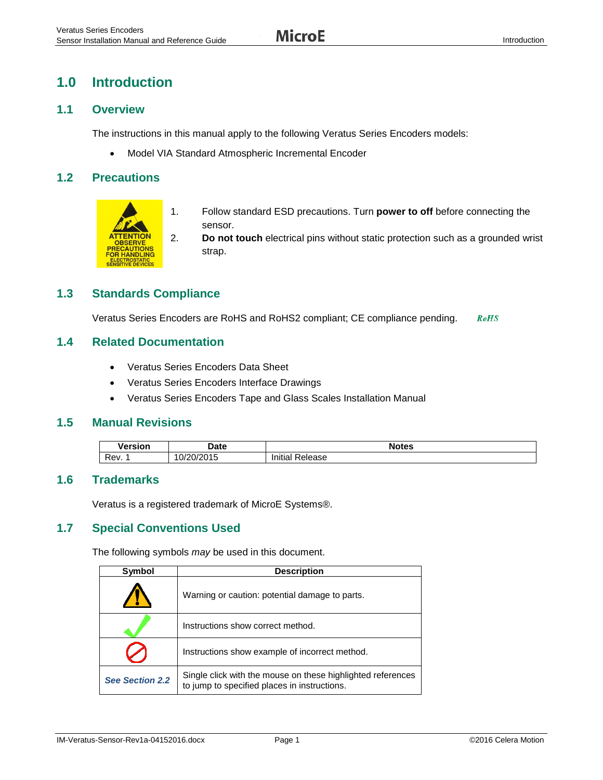# <span id="page-2-0"></span>**1.0 Introduction**

# <span id="page-2-1"></span>**1.1 Overview**

The instructions in this manual apply to the following Veratus Series Encoders models:

• Model VIA Standard Atmospheric Incremental Encoder

## <span id="page-2-2"></span>**1.2 Precautions**



- 1. Follow standard ESD precautions. Turn **power to off** before connecting the sensor.
- 2. **Do not touch** electrical pins without static protection such as a grounded wrist strap.

## **1.3 Standards Compliance**

<span id="page-2-3"></span>Veratus Series Encoders are RoHS and RoHS2 compliant; CE compliance pending.  $RoHS$ 

## <span id="page-2-4"></span>**1.4 Related Documentation**

- Veratus Series Encoders Data Sheet
- Veratus Series Encoders Interface Drawings
- Veratus Series Encoders Tape and Glass Scales Installation Manual

## <span id="page-2-5"></span>**1.5 Manual Revisions**

| /ersion   | Date       | <b>Notes</b>            |
|-----------|------------|-------------------------|
| -<br>Rev. | 10/20/2015 | .<br>Release<br>Initial |

#### <span id="page-2-6"></span>**1.6 Trademarks**

Veratus is a registered trademark of MicroE Systems®.

## <span id="page-2-7"></span>**1.7 Special Conventions Used**

The following symbols *may* be used in this document.

| <b>Symbol</b>          | <b>Description</b>                                                                                          |
|------------------------|-------------------------------------------------------------------------------------------------------------|
|                        | Warning or caution: potential damage to parts.                                                              |
|                        | Instructions show correct method.                                                                           |
|                        | Instructions show example of incorrect method.                                                              |
| <b>See Section 2.2</b> | Single click with the mouse on these highlighted references<br>to jump to specified places in instructions. |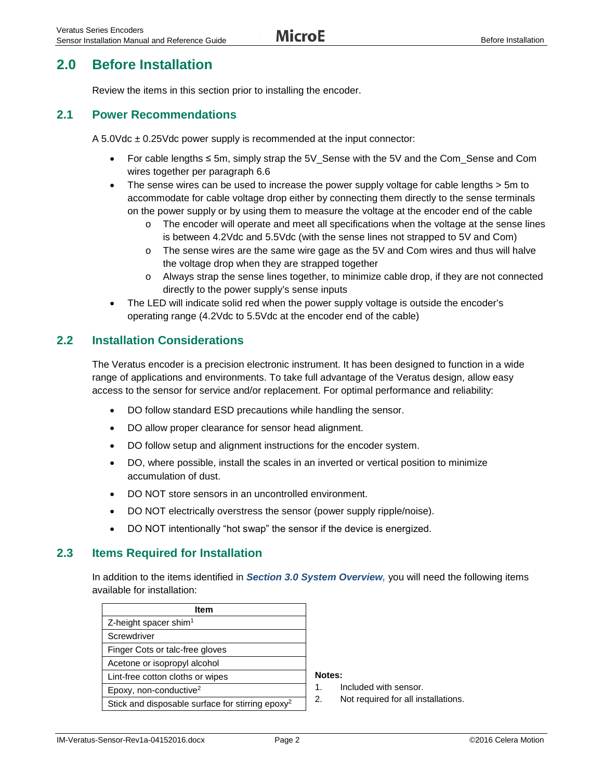# <span id="page-3-0"></span>**2.0 Before Installation**

Review the items in this section prior to installing the encoder.

### <span id="page-3-1"></span>**2.1 Power Recommendations**

A 5.0Vdc  $\pm$  0.25Vdc power supply is recommended at the input connector:

- For cable lengths ≤ 5m, simply strap the 5V\_Sense with the 5V and the Com\_Sense and Com wires together per paragraph 6.6
- The sense wires can be used to increase the power supply voltage for cable lengths > 5m to accommodate for cable voltage drop either by connecting them directly to the sense terminals on the power supply or by using them to measure the voltage at the encoder end of the cable
	- o The encoder will operate and meet all specifications when the voltage at the sense lines is between 4.2Vdc and 5.5Vdc (with the sense lines not strapped to 5V and Com)
	- o The sense wires are the same wire gage as the 5V and Com wires and thus will halve the voltage drop when they are strapped together
	- o Always strap the sense lines together, to minimize cable drop, if they are not connected directly to the power supply's sense inputs
- The LED will indicate solid red when the power supply voltage is outside the encoder's operating range (4.2Vdc to 5.5Vdc at the encoder end of the cable)

## <span id="page-3-2"></span>**2.2 Installation Considerations**

The Veratus encoder is a precision electronic instrument. It has been designed to function in a wide range of applications and environments. To take full advantage of the Veratus design, allow easy access to the sensor for service and/or replacement. For optimal performance and reliability:

- DO follow standard ESD precautions while handling the sensor.
- DO allow proper clearance for sensor head alignment.
- DO follow setup and alignment instructions for the encoder system.
- DO, where possible, install the scales in an inverted or vertical position to minimize accumulation of dust.
- DO NOT store sensors in an uncontrolled environment.
- DO NOT electrically overstress the sensor (power supply ripple/noise).
- DO NOT intentionally "hot swap" the sensor if the device is energized.

### <span id="page-3-3"></span>**2.3 Items Required for Installation**

In addition to the items identified in *Section [3.0](#page-5-0) [System Overview,](#page-5-0)* you will need the following items available for installation:

| ltem                                                         |
|--------------------------------------------------------------|
| $Z$ -height spacer shim <sup>1</sup>                         |
| Screwdriver                                                  |
| Finger Cots or talc-free gloves                              |
| Acetone or isopropyl alcohol                                 |
| Lint-free cotton cloths or wipes                             |
| Epoxy, non-conductive <sup>2</sup>                           |
| Stick and disposable surface for stirring epoxy <sup>2</sup> |

**Notes:**

- 1. Included with sensor.
- 2. Not required for all installations.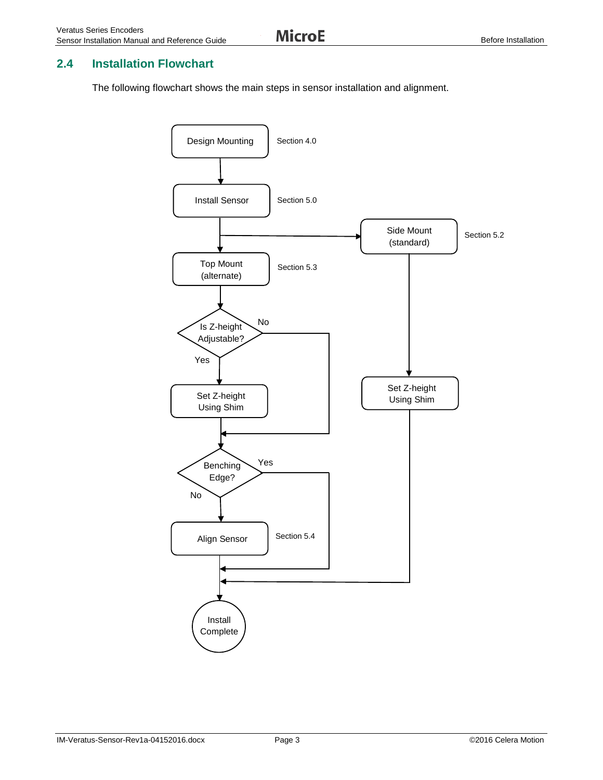# <span id="page-4-0"></span>**2.4 Installation Flowchart**

The following flowchart shows the main steps in sensor installation and alignment.

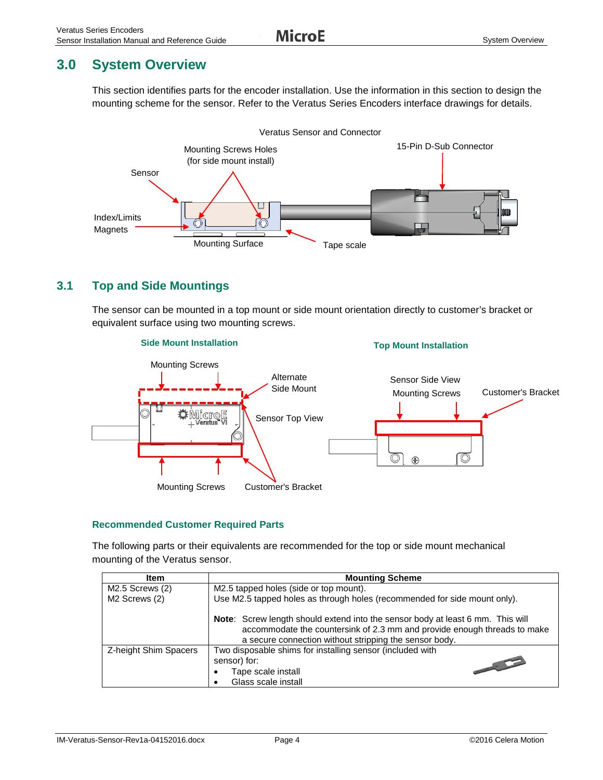# <span id="page-5-0"></span>**3.0 System Overview**

This section identifies parts for the encoder installation. Use the information in this section to design the mounting scheme for the sensor. Refer to the Veratus Series Encoders interface drawings for details.



# **3.1 Top and Side Mountings**

<span id="page-5-1"></span>The sensor can be mounted in a top mount or side mount orientation directly to customer's bracket or equivalent surface using two mounting screws.



#### **Recommended Customer Required Parts**

The following parts or their equivalents are recommended for the top or side mount mechanical mounting of the Veratus sensor.

| Item                      | <b>Mounting Scheme</b>                                                                                                                                                                                               |  |  |  |  |
|---------------------------|----------------------------------------------------------------------------------------------------------------------------------------------------------------------------------------------------------------------|--|--|--|--|
| $M2.5$ Screws $(2)$       | M2.5 tapped holes (side or top mount).                                                                                                                                                                               |  |  |  |  |
| M <sub>2</sub> Screws (2) | Use M2.5 tapped holes as through holes (recommended for side mount only).                                                                                                                                            |  |  |  |  |
|                           | Note: Screw length should extend into the sensor body at least 6 mm. This will<br>accommodate the countersink of 2.3 mm and provide enough threads to make<br>a secure connection without stripping the sensor body. |  |  |  |  |
| Z-height Shim Spacers     | Two disposable shims for installing sensor (included with<br>sensor) for:<br>Tape scale install<br>Glass scale install                                                                                               |  |  |  |  |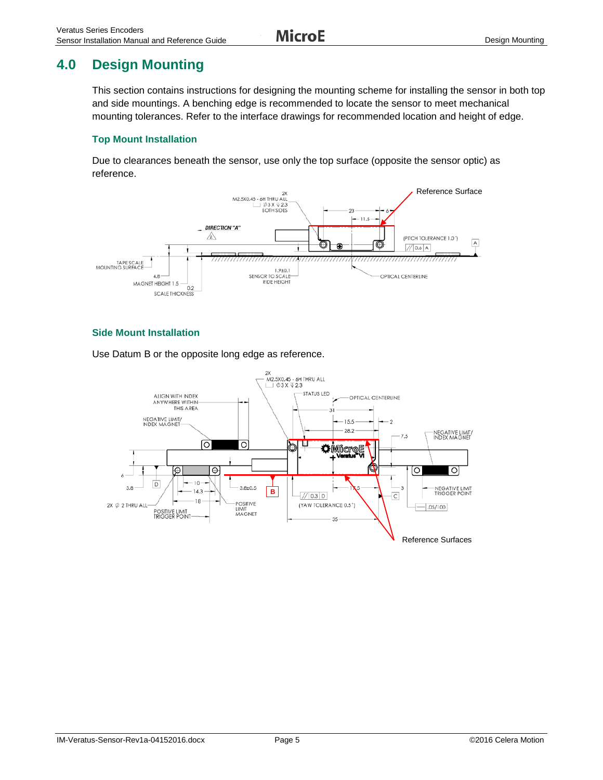# <span id="page-6-0"></span>**4.0 Design Mounting**

This section contains instructions for designing the mounting scheme for installing the sensor in both top and side mountings. A benching edge is recommended to locate the sensor to meet mechanical mounting tolerances. Refer to the interface drawings for recommended location and height of edge.

#### **Top Mount Installation**

Due to clearances beneath the sensor, use only the top surface (opposite the sensor optic) as reference.



#### **Side Mount Installation**

 $2x$  $M$ <br> $M$ 2.5X0.45 - 6H THRU ALL<br> $\Box \emptyset$ 3X  $\overline{\mathbb{V}}$ 2.3 STATUS LED ALIGN WITH INDEX -OPTICAL CENTERLINE ANYWHERE WITHIN THIS AREA зi NEGATIVE LIMIT/<br>INDEX MAGNET  $-15.5$  $\overline{2}$  $-28.2$ NEGATIVE LIMIT/<br>INDEX MAGNET  $.7.5$ ा O ò **‡**MicroE Q Ю  $\Theta$ (О  $\circ$  $\overline{D}$  $-10-$ NEGATIVE LIMIT<br>TRIGGER POINT  $3.8$  $3.8 \pm 0.5$ 3  $14.3$ **B**  $\overline{\mathsf{c}}$  $\frac{1}{2}$  0.3 D l8 -positive<br>Limit<br>Magnet (YAW TOLERANCE 0.5<sup>\*</sup>) 2X Ø 2 THRU ALL  $-05/100$ POSITIVE LIMIT<br>TRIGGER POINT Reference Surfaces

Use Datum B or the opposite long edge as reference.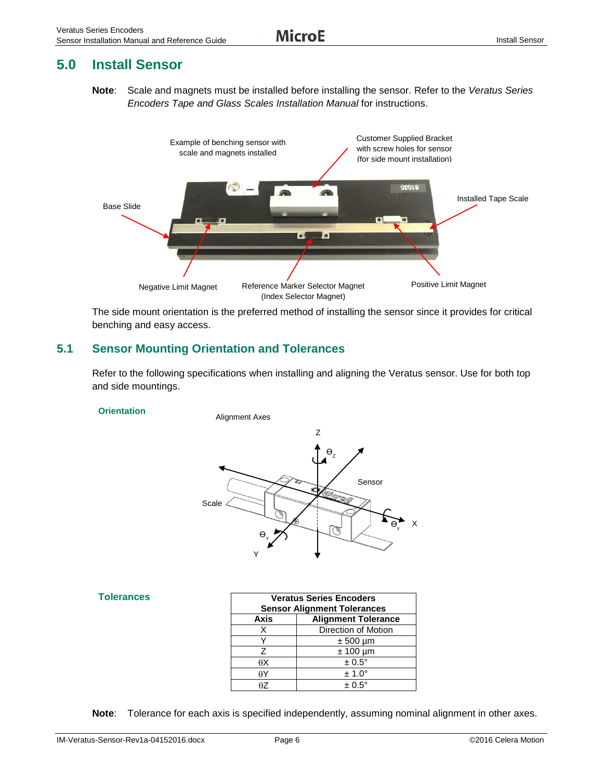# <span id="page-7-0"></span>**5.0 Install Sensor**

**Note**: Scale and magnets must be installed before installing the sensor. Refer to the *Veratus Series Encoders Tape and Glass Scales Installation Manual* for instructions.



The side mount orientation is the preferred method of installing the sensor since it provides for critical benching and easy access.

# <span id="page-7-1"></span>**5.1 Sensor Mounting Orientation and Tolerances**

Refer to the following specifications when installing and aligning the Veratus sensor. Use for both top and side mountings.

# **Orientation**<br> **Alignment Axes**



#### **Tolerances**

| <b>Veratus Series Encoders</b>     |                            |  |  |
|------------------------------------|----------------------------|--|--|
| <b>Sensor Alignment Tolerances</b> |                            |  |  |
| Axis                               | <b>Alignment Tolerance</b> |  |  |
|                                    | Direction of Motion        |  |  |
|                                    | $± 500 \mu m$              |  |  |
| 7                                  | $± 100 \mu m$              |  |  |
| $\theta X$                         | $\pm 0.5^{\circ}$          |  |  |
| θY                                 | $± 1.0^{\circ}$            |  |  |
| θ7                                 | $\pm 0.5^{\circ}$          |  |  |

**Note**: Tolerance for each axis is specified independently, assuming nominal alignment in other axes.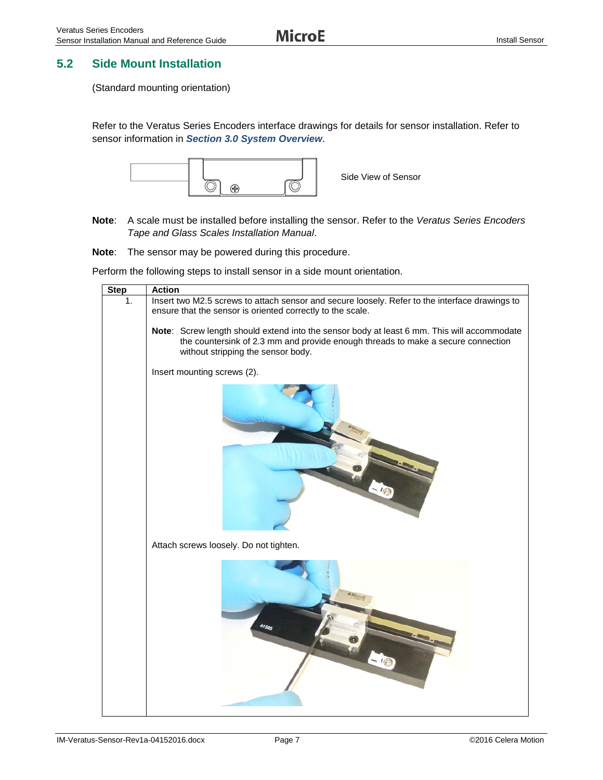**MicroE** 

## <span id="page-8-0"></span>**5.2 Side Mount Installation**

(Standard mounting orientation)

Refer to the Veratus Series Encoders interface drawings for details for sensor installation. Refer to sensor information in *Section [3.0](#page-5-0) [System Overview](#page-5-0)*.

|--|--|--|--|--|

Side View of Sensor

**Note**: A scale must be installed before installing the sensor. Refer to the *Veratus Series Encoders Tape and Glass Scales Installation Manual*.

**Note**: The sensor may be powered during this procedure.

Perform the following steps to install sensor in a side mount orientation.

| <b>Step</b>      | <b>Action</b>                                                                                                                                                                                                        |
|------------------|----------------------------------------------------------------------------------------------------------------------------------------------------------------------------------------------------------------------|
| $\overline{1}$ . | Insert two M2.5 screws to attach sensor and secure loosely. Refer to the interface drawings to<br>ensure that the sensor is oriented correctly to the scale.                                                         |
|                  | Note: Screw length should extend into the sensor body at least 6 mm. This will accommodate<br>the countersink of 2.3 mm and provide enough threads to make a secure connection<br>without stripping the sensor body. |
|                  | Insert mounting screws (2).                                                                                                                                                                                          |
|                  |                                                                                                                                                                                                                      |
|                  | Attach screws loosely. Do not tighten.                                                                                                                                                                               |
|                  | 81535<br>$-10$                                                                                                                                                                                                       |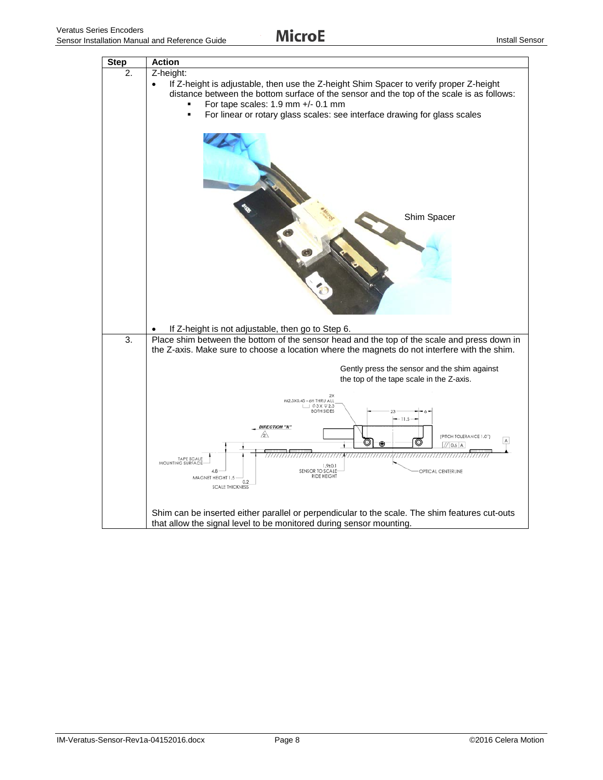**MicroE** 

| <b>Step</b>      | <b>Action</b>                                                                                                                                                                                    |
|------------------|--------------------------------------------------------------------------------------------------------------------------------------------------------------------------------------------------|
| 2.               | Z-height:                                                                                                                                                                                        |
|                  | If Z-height is adjustable, then use the Z-height Shim Spacer to verify proper Z-height<br>$\bullet$<br>distance between the bottom surface of the sensor and the top of the scale is as follows: |
|                  | For tape scales: $1.9$ mm $+/-$ 0.1 mm                                                                                                                                                           |
|                  | For linear or rotary glass scales: see interface drawing for glass scales                                                                                                                        |
|                  | Shim Spacer                                                                                                                                                                                      |
|                  |                                                                                                                                                                                                  |
| $\overline{3}$ . | If Z-height is not adjustable, then go to Step 6.<br>Place shim between the bottom of the sensor head and the top of the scale and press down in                                                 |
|                  | the Z-axis. Make sure to choose a location where the magnets do not interfere with the shim.                                                                                                     |
|                  | Gently press the sensor and the shim against                                                                                                                                                     |
|                  | the top of the tape scale in the Z-axis.                                                                                                                                                         |
|                  | M2.5X0.45 - 6H THRU ALL                                                                                                                                                                          |
|                  | $\Box$ Ø3X $\overline{v}$ 23<br><b>BOTH SIDES</b>                                                                                                                                                |
|                  | $-11.5$<br><b>DIRECTION "A"</b>                                                                                                                                                                  |
|                  | $\sqrt{2}$<br>(PITCH TOLERANCE 1.0")<br> A <br>Θ                                                                                                                                                 |
|                  | 0.6A                                                                                                                                                                                             |
|                  | TAPE SCALE<br>MOUNTING SURFACE<br>$1.9 + 0.1$                                                                                                                                                    |
|                  | SENSOR TO SCALE<br>4.8<br>OPTICAL CENTERLINE<br><b>RIDE HEIGHT</b><br>MAGNET HEIGHT 1.5<br>0.2                                                                                                   |
|                  | <b>SCALE THICKNESS</b>                                                                                                                                                                           |
|                  |                                                                                                                                                                                                  |
|                  | Shim can be inserted either parallel or perpendicular to the scale. The shim features cut-outs                                                                                                   |
|                  | that allow the signal level to be monitored during sensor mounting.                                                                                                                              |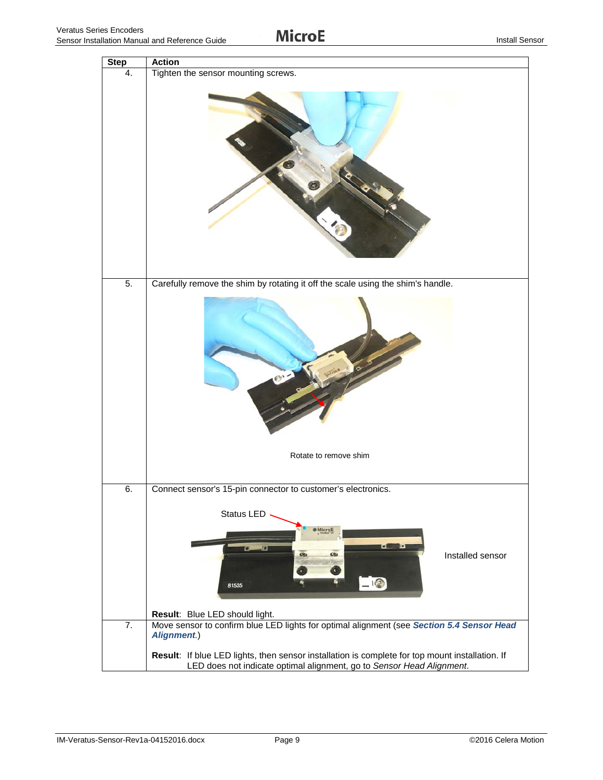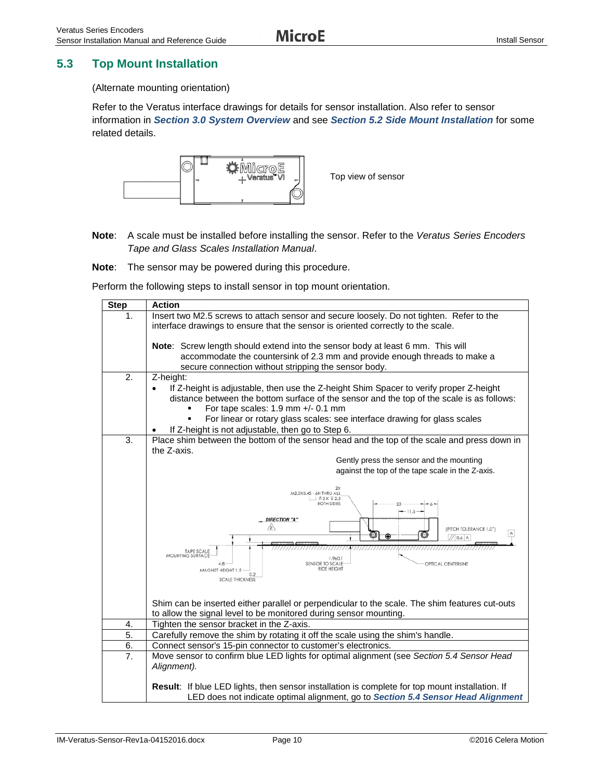## <span id="page-11-0"></span>**5.3 Top Mount Installation**

#### (Alternate mounting orientation)

Refer to the Veratus interface drawings for details for sensor installation. Also refer to sensor information in *Section [3.0](#page-5-0) [System Overview](#page-5-0)* and see *Section [5.2](#page-8-0) [Side Mount Installation](#page-8-0)* for some related details.



Top view of sensor

#### **Note**: A scale must be installed before installing the sensor. Refer to the *Veratus Series Encoders Tape and Glass Scales Installation Manual*.

**Note**: The sensor may be powered during this procedure.

Perform the following steps to install sensor in top mount orientation.

| <b>Step</b>      | <b>Action</b>                                                                                                                                                                                                                                                                                                                                                            |  |  |
|------------------|--------------------------------------------------------------------------------------------------------------------------------------------------------------------------------------------------------------------------------------------------------------------------------------------------------------------------------------------------------------------------|--|--|
| 1.               | Insert two M2.5 screws to attach sensor and secure loosely. Do not tighten. Refer to the<br>interface drawings to ensure that the sensor is oriented correctly to the scale.                                                                                                                                                                                             |  |  |
|                  | Note: Screw length should extend into the sensor body at least 6 mm. This will<br>accommodate the countersink of 2.3 mm and provide enough threads to make a                                                                                                                                                                                                             |  |  |
|                  | secure connection without stripping the sensor body.                                                                                                                                                                                                                                                                                                                     |  |  |
| 2.               | Z-height:<br>If Z-height is adjustable, then use the Z-height Shim Spacer to verify proper Z-height<br>distance between the bottom surface of the sensor and the top of the scale is as follows:<br>For tape scales: 1.9 mm +/- 0.1 mm<br>For linear or rotary glass scales: see interface drawing for glass scales<br>If Z-height is not adjustable, then go to Step 6. |  |  |
| 3.               | Place shim between the bottom of the sensor head and the top of the scale and press down in<br>the Z-axis.<br>Gently press the sensor and the mounting                                                                                                                                                                                                                   |  |  |
|                  | against the top of the tape scale in the Z-axis.                                                                                                                                                                                                                                                                                                                         |  |  |
|                  | M2.5X0.45 - 6H THRU ALL<br>$\downarrow$ Ø3X $\nabla$ 2.3<br><b>BOTH SIDES</b><br>$-11.5$<br><b>DIRECTION "A"</b><br>$\sqrt{2}$<br>(PITCH TOLERANCE 1.0")<br>Θ<br>// 0.6 A<br><b>TAPE SCALE</b><br><b>MOUNTING SURFACE</b><br>$1.9 \pm 0.1$<br>SENSOR TO SCALE<br>OPTICAL CENTERLINE<br>4.8<br>RIDE HEIGHT<br>MAGNET HEIGHT 1.<br>0.2<br><b>SCALE THICKNESS</b>           |  |  |
|                  | Shim can be inserted either parallel or perpendicular to the scale. The shim features cut-outs                                                                                                                                                                                                                                                                           |  |  |
|                  | to allow the signal level to be monitored during sensor mounting.                                                                                                                                                                                                                                                                                                        |  |  |
| 4.               | Tighten the sensor bracket in the Z-axis.                                                                                                                                                                                                                                                                                                                                |  |  |
| 5.               | Carefully remove the shim by rotating it off the scale using the shim's handle.                                                                                                                                                                                                                                                                                          |  |  |
| 6.               | Connect sensor's 15-pin connector to customer's electronics.                                                                                                                                                                                                                                                                                                             |  |  |
| $\overline{7}$ . | Move sensor to confirm blue LED lights for optimal alignment (see Section 5.4 Sensor Head<br>Alignment).                                                                                                                                                                                                                                                                 |  |  |
|                  | Result: If blue LED lights, then sensor installation is complete for top mount installation. If<br>LED does not indicate optimal alignment, go to Section 5.4 Sensor Head Alignment                                                                                                                                                                                      |  |  |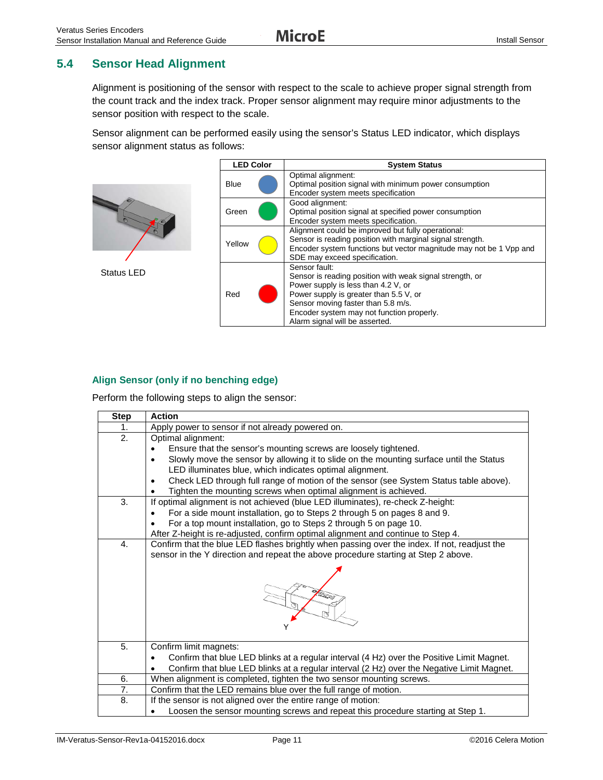# <span id="page-12-0"></span>**5.4 Sensor Head Alignment**

Alignment is positioning of the sensor with respect to the scale to achieve proper signal strength from the count track and the index track. Proper sensor alignment may require minor adjustments to the sensor position with respect to the scale.

Sensor alignment can be performed easily using the sensor's Status LED indicator, which displays sensor alignment status as follows:

|                   | <b>LED Color</b> | <b>System Status</b>                                                                                                                                                                                                                                                            |
|-------------------|------------------|---------------------------------------------------------------------------------------------------------------------------------------------------------------------------------------------------------------------------------------------------------------------------------|
|                   | <b>Blue</b>      | Optimal alignment:<br>Optimal position signal with minimum power consumption<br>Encoder system meets specification                                                                                                                                                              |
|                   | Green            | Good alignment:<br>Optimal position signal at specified power consumption<br>Encoder system meets specification.                                                                                                                                                                |
|                   | Yellow           | Alignment could be improved but fully operational:<br>Sensor is reading position with marginal signal strength.<br>Encoder system functions but vector magnitude may not be 1 Vpp and<br>SDE may exceed specification.                                                          |
| <b>Status LED</b> | Red              | Sensor fault:<br>Sensor is reading position with weak signal strength, or<br>Power supply is less than 4.2 V, or<br>Power supply is greater than 5.5 V, or<br>Sensor moving faster than 5.8 m/s.<br>Encoder system may not function properly.<br>Alarm signal will be asserted. |

#### **Align Sensor (only if no benching edge)**

Perform the following steps to align the sensor:

| <b>Step</b>      | <b>Action</b>                                                                                                                                                                                                                                                                                                                                                                                                                                                                                                                                                                             |
|------------------|-------------------------------------------------------------------------------------------------------------------------------------------------------------------------------------------------------------------------------------------------------------------------------------------------------------------------------------------------------------------------------------------------------------------------------------------------------------------------------------------------------------------------------------------------------------------------------------------|
| 1.               | Apply power to sensor if not already powered on.                                                                                                                                                                                                                                                                                                                                                                                                                                                                                                                                          |
| 2.<br>3.         | Optimal alignment:<br>Ensure that the sensor's mounting screws are loosely tightened.<br>Slowly move the sensor by allowing it to slide on the mounting surface until the Status<br>٠<br>LED illuminates blue, which indicates optimal alignment.<br>Check LED through full range of motion of the sensor (see System Status table above).<br>$\bullet$<br>Tighten the mounting screws when optimal alignment is achieved.<br>If optimal alignment is not achieved (blue LED illuminates), re-check Z-height:<br>For a side mount installation, go to Steps 2 through 5 on pages 8 and 9. |
|                  | For a top mount installation, go to Steps 2 through 5 on page 10.<br>After Z-height is re-adjusted, confirm optimal alignment and continue to Step 4.                                                                                                                                                                                                                                                                                                                                                                                                                                     |
| $\mathbf{4}$ .   | Confirm that the blue LED flashes brightly when passing over the index. If not, readjust the<br>sensor in the Y direction and repeat the above procedure starting at Step 2 above.                                                                                                                                                                                                                                                                                                                                                                                                        |
| $\overline{5}$ . | Confirm limit magnets:<br>Confirm that blue LED blinks at a regular interval (4 Hz) over the Positive Limit Magnet.<br>Confirm that blue LED blinks at a regular interval (2 Hz) over the Negative Limit Magnet.<br>٠                                                                                                                                                                                                                                                                                                                                                                     |
| 6.               | When alignment is completed, tighten the two sensor mounting screws.                                                                                                                                                                                                                                                                                                                                                                                                                                                                                                                      |
| 7.               | Confirm that the LED remains blue over the full range of motion.                                                                                                                                                                                                                                                                                                                                                                                                                                                                                                                          |
| 8.               | If the sensor is not aligned over the entire range of motion:<br>Loosen the sensor mounting screws and repeat this procedure starting at Step 1.                                                                                                                                                                                                                                                                                                                                                                                                                                          |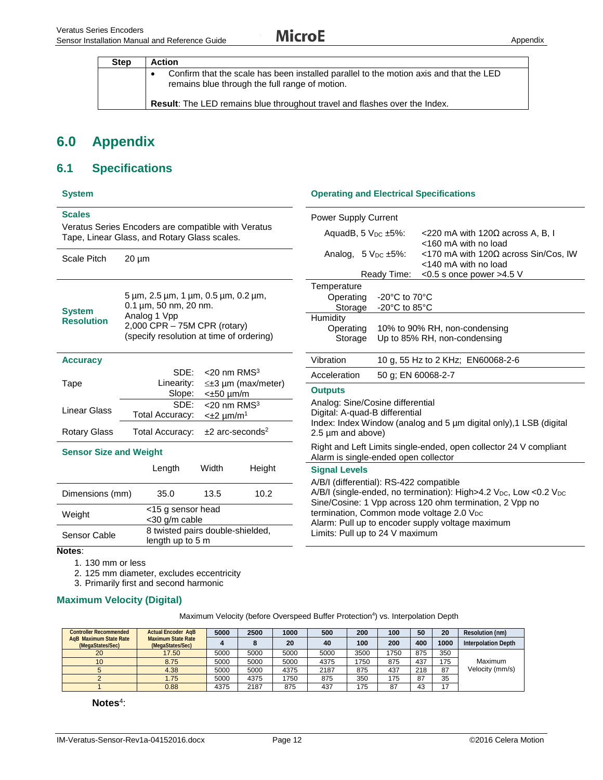| Step | <b>Action</b>                                                                                                                            |  |  |  |  |  |
|------|------------------------------------------------------------------------------------------------------------------------------------------|--|--|--|--|--|
|      | Confirm that the scale has been installed parallel to the motion axis and that the LED<br>remains blue through the full range of motion. |  |  |  |  |  |
|      | <b>Result:</b> The LED remains blue throughout travel and flashes over the Index.                                                        |  |  |  |  |  |

# <span id="page-13-0"></span>**6.0 Appendix**

# <span id="page-13-1"></span>**6.1 Specifications**

| <b>System</b>                           |                                                                                                                          | <b>Operating and Electrical Specifications</b>                                                                                                                                                  |  |  |  |  |  |  |
|-----------------------------------------|--------------------------------------------------------------------------------------------------------------------------|-------------------------------------------------------------------------------------------------------------------------------------------------------------------------------------------------|--|--|--|--|--|--|
| <b>Scales</b>                           |                                                                                                                          | Power Supply Current                                                                                                                                                                            |  |  |  |  |  |  |
|                                         | Veratus Series Encoders are compatible with Veratus<br>Tape, Linear Glass, and Rotary Glass scales.                      | AquadB, $5V_{DC} \pm 5\%$ :<br><220 mA with $120Ω$ across A, B, I<br><160 mA with no load                                                                                                       |  |  |  |  |  |  |
| Scale Pitch                             | $20 \mu m$                                                                                                               | <170 mA with 120Ω across Sin/Cos, IW<br>Analog, $5V_{DC} \pm 5\%$ :<br><140 mA with no load<br>$<$ 0.5 s once power >4.5 V<br>Ready Time:                                                       |  |  |  |  |  |  |
| <b>System</b><br><b>Resolution</b>      | 5 µm, 2.5 µm, 1 µm, 0.5 µm, 0.2 µm,<br>$0.1 \,\mu m$ , 50 nm, 20 nm.<br>Analog 1 Vpp<br>$2,000$ CPR $- 75M$ CPR (rotary) | Temperature<br>-20°C to 70°C<br>Operating<br>-20 $^{\circ}$ C to 85 $^{\circ}$ C<br>Storage<br>Humidity                                                                                         |  |  |  |  |  |  |
|                                         | (specify resolution at time of ordering)                                                                                 | Operating<br>10% to 90% RH, non-condensing<br>Up to 85% RH, non-condensing<br>Storage                                                                                                           |  |  |  |  |  |  |
| <b>Accuracy</b>                         |                                                                                                                          | Vibration<br>10 g, 55 Hz to 2 KHz; EN60068-2-6                                                                                                                                                  |  |  |  |  |  |  |
|                                         | $<$ 20 nm RMS $3$<br>SDE:                                                                                                | 50 g; EN 60068-2-7<br>Acceleration                                                                                                                                                              |  |  |  |  |  |  |
| Tape                                    | Linearity:<br>$\leq \pm 3$ µm (max/meter)<br>Slope:<br>$<\pm 50 \mu m/m$                                                 | <b>Outputs</b>                                                                                                                                                                                  |  |  |  |  |  |  |
| <b>Linear Glass</b>                     | SDE:<br>$<$ 20 nm RMS $3$<br>Total Accuracy:<br>$<\pm 2$ µm/m <sup>1</sup>                                               | Analog: Sine/Cosine differential<br>Digital: A-quad-B differential                                                                                                                              |  |  |  |  |  |  |
| <b>Rotary Glass</b>                     | $±2$ arc-seconds <sup>2</sup><br>Total Accuracy:                                                                         | Index: Index Window (analog and 5 µm digital only), 1 LSB (digital<br>2.5 µm and above)                                                                                                         |  |  |  |  |  |  |
| <b>Sensor Size and Weight</b>           |                                                                                                                          | Right and Left Limits single-ended, open collector 24 V compliant<br>Alarm is single-ended open collector                                                                                       |  |  |  |  |  |  |
|                                         | Width<br>Height<br>Length                                                                                                | <b>Signal Levels</b>                                                                                                                                                                            |  |  |  |  |  |  |
| 10.2<br>Dimensions (mm)<br>35.0<br>13.5 |                                                                                                                          | A/B/I (differential): RS-422 compatible<br>A/B/I (single-ended, no termination): High>4.2 V <sub>DC</sub> , Low <0.2 V <sub>DC</sub><br>Sine/Cosine: 1 Vpp across 120 ohm termination, 2 Vpp no |  |  |  |  |  |  |
| Weight                                  | <15 g sensor head<br><30 g/m cable                                                                                       | termination, Common mode voltage 2.0 V <sub>DC</sub><br>Alarm: Pull up to encoder supply voltage maximum                                                                                        |  |  |  |  |  |  |
| Sensor Cable                            | 8 twisted pairs double-shielded,<br>length up to 5 m                                                                     | Limits: Pull up to 24 V maximum                                                                                                                                                                 |  |  |  |  |  |  |

#### **Notes**:

1. 130 mm or less

2. 125 mm diameter, excludes eccentricity

3. Primarily first and second harmonic

#### **Maximum Velocity (Digital)**

Maximum Velocity (before Overspeed Buffer Protection<sup>4</sup>) vs. Interpolation Depth

| <b>Controller Recommended</b>                     | <b>Actual Encoder AgB</b>                     | 5000 | 2500 | 1000 | 500  | 200  | 100  | 50  | 20   | Resolution (nm)            |
|---------------------------------------------------|-----------------------------------------------|------|------|------|------|------|------|-----|------|----------------------------|
| <b>AgB Maximum State Rate</b><br>(MegaStates/Sec) | <b>Maximum State Rate</b><br>(MegaStates/Sec) |      |      | 20   | 40   | 100  | 200  | 400 | 1000 | <b>Interpolation Depth</b> |
| 20                                                | 17.50                                         | 5000 | 5000 | 5000 | 5000 | 3500 | 1750 | 875 | 350  |                            |
| 10                                                | 8.75                                          | 5000 | 5000 | 5000 | 4375 | 1750 | 875  | 437 | 175  | Maximum                    |
| 5                                                 | 4.38                                          | 5000 | 5000 | 4375 | 2187 | 875  | 437  | 218 | 87   | Velocity (mm/s)            |
|                                                   | 1.75                                          | 5000 | 4375 | 1750 | 875  | 350  | 175  | 87  | 35   |                            |
|                                                   | 0.88                                          | 4375 | 2187 | 875  | 437  | 175  | 87   | 43  | 17   |                            |

#### **Notes**4: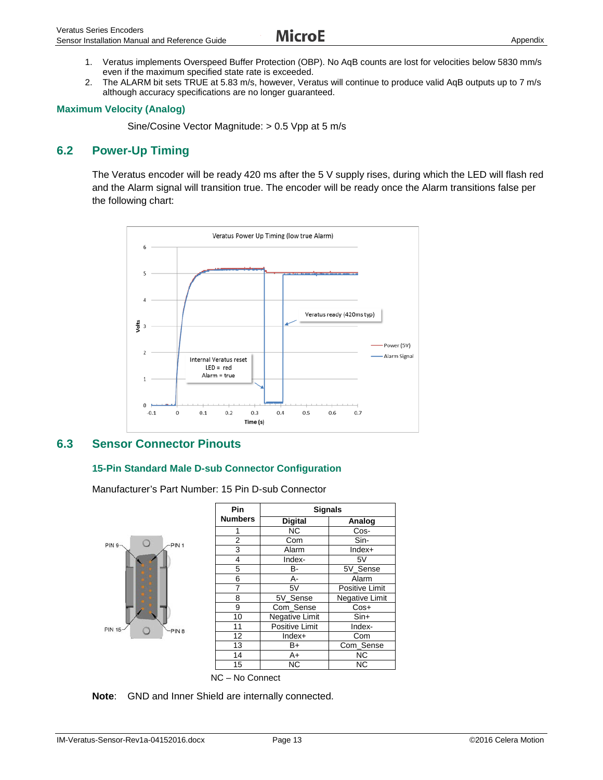- 1. Veratus implements Overspeed Buffer Protection (OBP). No AqB counts are lost for velocities below 5830 mm/s even if the maximum specified state rate is exceeded.
- 2. The ALARM bit sets TRUE at 5.83 m/s, however, Veratus will continue to produce valid AqB outputs up to 7 m/s although accuracy specifications are no longer guaranteed.

#### **Maximum Velocity (Analog)**

Sine/Cosine Vector Magnitude: > 0.5 Vpp at 5 m/s

# <span id="page-14-0"></span>**6.2 Power-Up Timing**

The Veratus encoder will be ready 420 ms after the 5 V supply rises, during which the LED will flash red and the Alarm signal will transition true. The encoder will be ready once the Alarm transitions false per the following chart:



# <span id="page-14-1"></span>**6.3 Sensor Connector Pinouts**

#### **15-Pin Standard Male D-sub Connector Configuration**

**Pin Signals Numbers Digital Analog** 1 NC Cos-<br>2 Com Sin- $\begin{array}{c|c}\n2 & \text{Com} \\
\hline\n3 & \text{Alarm}\n\end{array}$ ⋒ PIN 9 PIN<sub>1</sub> Alarm | Index+ 4 Index- 1 5V 5 B- 5V\_Sense 6 A- Alarm 7 5V Positive Limit 8 5V\_Sense Negative Limit<br>9 Com\_Sense Cos+ 9 Com\_Sense Cos+<br>10 Negative Limit Sin+ Negative Limit Sin+ 11 Positive Limit | Index-**PIN 15**  $\circ$ PIN<sub>8</sub> 12 Index+ Com<br>13 B+ Com\_Se 13 B+ Com\_Sense 14 | A+ | NC 15 | NC | NC NC – No Connect

Manufacturer's Part Number: 15 Pin D-sub Connector

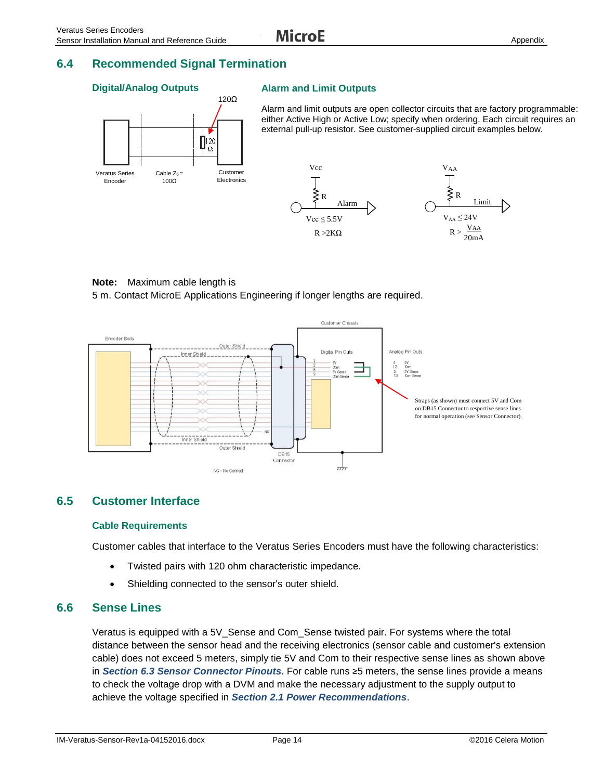# **6.4 Recommended Signal Termination**

<span id="page-15-0"></span>

#### **Alarm and Limit Outputs**

Alarm and limit outputs are open collector circuits that are factory programmable: either Active High or Active Low; specify when ordering. Each circuit requires an external pull-up resistor. See customer-supplied circuit examples below.



#### **Note:** Maximum cable length is 5 m. Contact MicroE Applications Engineering if longer lengths are required.



# <span id="page-15-1"></span>**6.5 Customer Interface**

#### **Cable Requirements**

Customer cables that interface to the Veratus Series Encoders must have the following characteristics:

- Twisted pairs with 120 ohm characteristic impedance.
- Shielding connected to the sensor's outer shield.

### <span id="page-15-2"></span>**6.6 Sense Lines**

Veratus is equipped with a 5V\_Sense and Com\_Sense twisted pair. For systems where the total distance between the sensor head and the receiving electronics (sensor cable and customer's extension cable) does not exceed 5 meters, simply tie 5V and Com to their respective sense lines as shown above in *Section [6.3](#page-14-1) [Sensor Connector Pinouts](#page-14-1)*. For cable runs ≥5 meters, the sense lines provide a means to check the voltage drop with a DVM and make the necessary adjustment to the supply output to achieve the voltage specified in *Section [2.1](#page-3-1) [Power Recommendations](#page-3-1)*.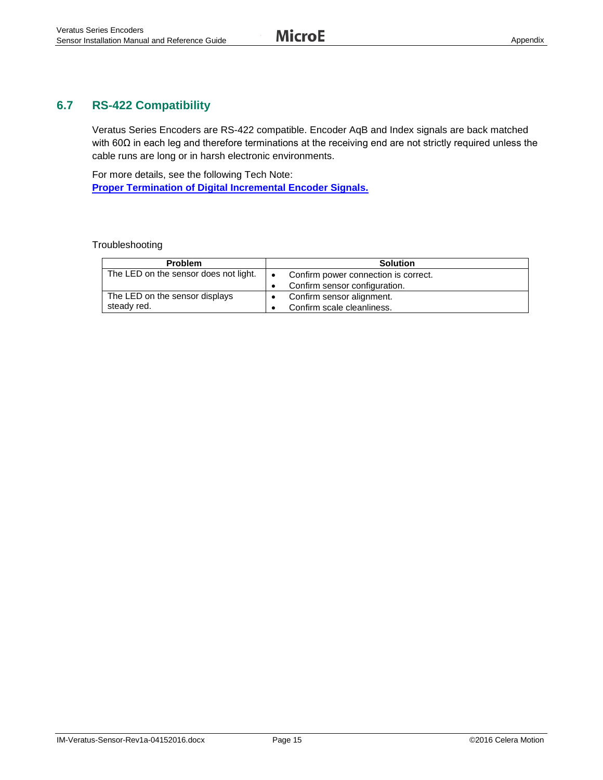## <span id="page-16-0"></span>**6.7 RS-422 Compatibility**

Veratus Series Encoders are RS-422 compatible. Encoder AqB and Index signals are back matched with 60Ω in each leg and therefore terminations at the receiving end are not strictly required unless the cable runs are long or in harsh electronic environments.

For more details, see the following Tech Note: **[Proper Termination of Digital Incremental Encoder Signals.](http://www.microesystems.com/resource/technical-notes)**

#### **Troubleshooting**

| <b>Problem</b>                        | <b>Solution</b>                      |  |  |  |
|---------------------------------------|--------------------------------------|--|--|--|
| The LED on the sensor does not light. | Confirm power connection is correct. |  |  |  |
|                                       | Confirm sensor configuration.        |  |  |  |
| The LED on the sensor displays        | Confirm sensor alignment.            |  |  |  |
| steady red.                           | Confirm scale cleanliness.           |  |  |  |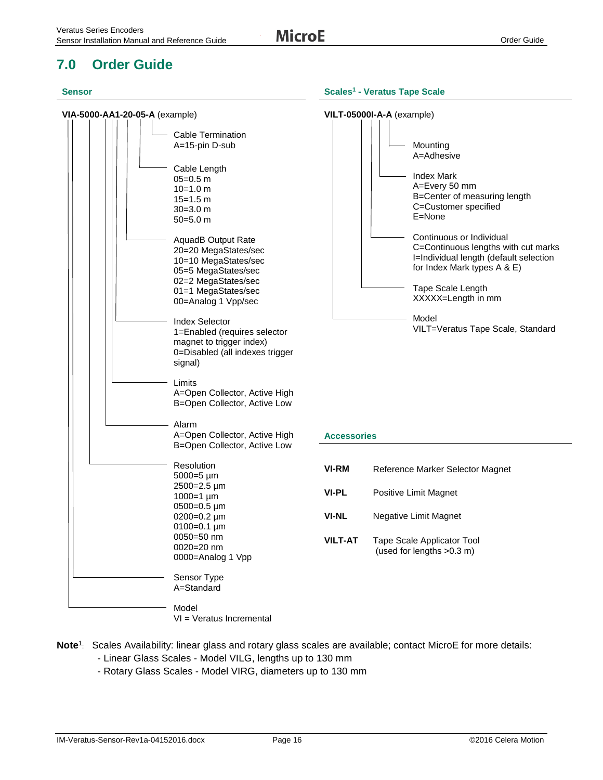# <span id="page-17-0"></span>**7.0 Order Guide**

#### **Sensor Scales1 - Veratus Tape Scale**



**Note**1: Scales Availability: linear glass and rotary glass scales are available; contact MicroE for more details:

- Linear Glass Scales Model VILG, lengths up to 130 mm
- Rotary Glass Scales Model VIRG, diameters up to 130 mm